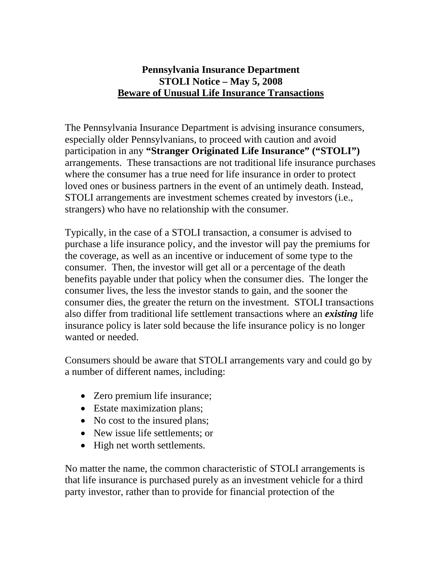## **Pennsylvania Insurance Department STOLI Notice – May 5, 2008 Beware of Unusual Life Insurance Transactions**

The Pennsylvania Insurance Department is advising insurance consumers, especially older Pennsylvanians, to proceed with caution and avoid participation in any **"Stranger Originated Life Insurance" ("STOLI")** arrangements. These transactions are not traditional life insurance purchases where the consumer has a true need for life insurance in order to protect loved ones or business partners in the event of an untimely death. Instead, STOLI arrangements are investment schemes created by investors (i.e., strangers) who have no relationship with the consumer.

Typically, in the case of a STOLI transaction, a consumer is advised to purchase a life insurance policy, and the investor will pay the premiums for the coverage, as well as an incentive or inducement of some type to the consumer. Then, the investor will get all or a percentage of the death benefits payable under that policy when the consumer dies. The longer the consumer lives, the less the investor stands to gain, and the sooner the consumer dies, the greater the return on the investment. STOLI transactions also differ from traditional life settlement transactions where an *existing* life insurance policy is later sold because the life insurance policy is no longer wanted or needed.

Consumers should be aware that STOLI arrangements vary and could go by a number of different names, including:

- Zero premium life insurance;
- Estate maximization plans;
- No cost to the insured plans;
- New issue life settlements; or
- High net worth settlements.

No matter the name, the common characteristic of STOLI arrangements is that life insurance is purchased purely as an investment vehicle for a third party investor, rather than to provide for financial protection of the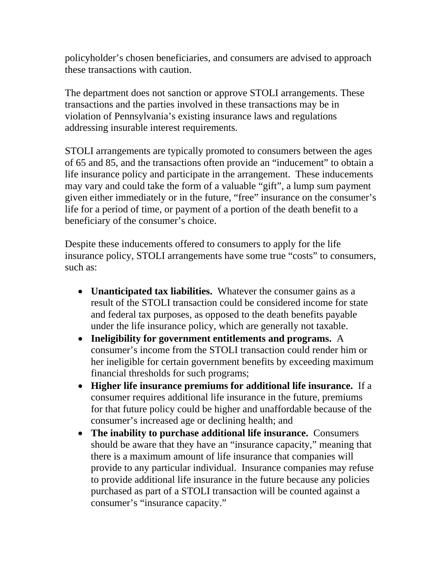policyholder's chosen beneficiaries, and consumers are advised to approach these transactions with caution.

The department does not sanction or approve STOLI arrangements. These transactions and the parties involved in these transactions may be in violation of Pennsylvania's existing insurance laws and regulations addressing insurable interest requirements.

STOLI arrangements are typically promoted to consumers between the ages of 65 and 85, and the transactions often provide an "inducement" to obtain a life insurance policy and participate in the arrangement. These inducements may vary and could take the form of a valuable "gift", a lump sum payment given either immediately or in the future, "free" insurance on the consumer's life for a period of time, or payment of a portion of the death benefit to a beneficiary of the consumer's choice.

Despite these inducements offered to consumers to apply for the life insurance policy, STOLI arrangements have some true "costs" to consumers, such as:

- **Unanticipated tax liabilities.** Whatever the consumer gains as a result of the STOLI transaction could be considered income for state and federal tax purposes, as opposed to the death benefits payable under the life insurance policy, which are generally not taxable.
- **Ineligibility for government entitlements and programs.** A consumer's income from the STOLI transaction could render him or her ineligible for certain government benefits by exceeding maximum financial thresholds for such programs;
- **Higher life insurance premiums for additional life insurance.** If a consumer requires additional life insurance in the future, premiums for that future policy could be higher and unaffordable because of the consumer's increased age or declining health; and
- **The inability to purchase additional life insurance.** Consumers should be aware that they have an "insurance capacity," meaning that there is a maximum amount of life insurance that companies will provide to any particular individual. Insurance companies may refuse to provide additional life insurance in the future because any policies purchased as part of a STOLI transaction will be counted against a consumer's "insurance capacity."